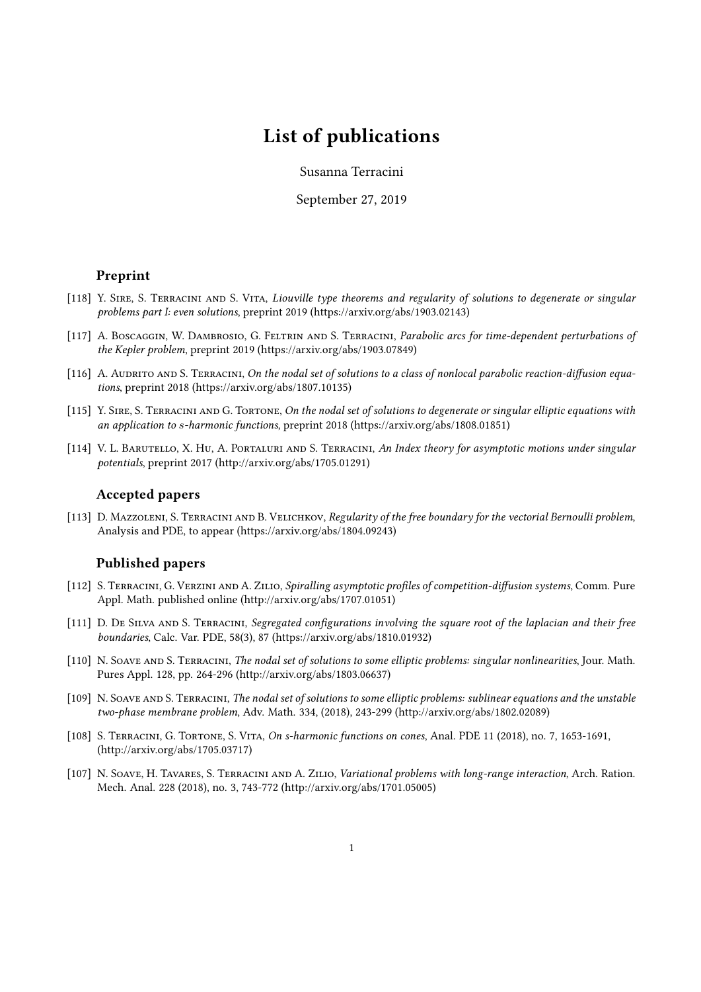# List of publications

Susanna Terracini

September 27, 2019

### Preprint

- [118] Y. SIRE, S. TERRACINI AND S. VITA, Liouville type theorems and regularity of solutions to degenerate or singular problems part I: even solutions, preprint 2019 (https://arxiv.org/abs/1903.02143)
- [117] A. Boscaggin, W. Dambrosio, G. FELTRIN AND S. TERRACINI, Parabolic arcs for time-dependent perturbations of the Kepler problem, preprint 2019 (https://arxiv.org/abs/1903.07849)
- $[116]$  A. AUDRITO AND S. TERRACINI, On the nodal set of solutions to a class of nonlocal parabolic reaction-diffusion equations, preprint 2018 (https://arxiv.org/abs/1807.10135)
- [115] Y. SIRE, S. TERRACINI AND G. TORTONE, On the nodal set of solutions to degenerate or singular elliptic equations with an application to s-harmonic functions, preprint 2018 (https://arxiv.org/abs/1808.01851)
- [114] V. L. BARUTELLO, X. HU, A. PORTALURI AND S. TERRACINI, An Index theory for asymptotic motions under singular potentials, preprint 2017 (http://arxiv.org/abs/1705.01291)

### Accepted papers

[113] D. MAZZOLENI, S. TERRACINI AND B. VELICHKOV, Regularity of the free boundary for the vectorial Bernoulli problem, Analysis and PDE, to appear (https://arxiv.org/abs/1804.09243)

## Published papers

- [112] S. TERRACINI, G. VERZINI AND A. ZILIO, Spiralling asymptotic profiles of competition-diffusion systems, Comm. Pure Appl. Math. published online (http://arxiv.org/abs/1707.01051)
- [111] D. DE SILVA AND S. TERRACINI, Segregated configurations involving the square root of the laplacian and their free boundaries, Calc. Var. PDE, 58(3), 87 (https://arxiv.org/abs/1810.01932)
- [110] N. SOAVE AND S. TERRACINI, The nodal set of solutions to some elliptic problems: singular nonlinearities, Jour. Math. Pures Appl. 128, pp. 264-296 (http://arxiv.org/abs/1803.06637)
- [109] N. SOAVE AND S. TERRACINI, The nodal set of solutions to some elliptic problems: sublinear equations and the unstable two-phase membrane problem, Adv. Math. 334, (2018), 243-299 (http://arxiv.org/abs/1802.02089)
- [108] S. Terracini, G. Tortone, S. Vita, On s-harmonic functions on cones, Anal. PDE 11 (2018), no. 7, 1653-1691, (http://arxiv.org/abs/1705.03717)
- [107] N. Soave, H. Tavares, S. Terracini and A. Zilio, Variational problems with long-range interaction, Arch. Ration. Mech. Anal. 228 (2018), no. 3, 743-772 (http://arxiv.org/abs/1701.05005)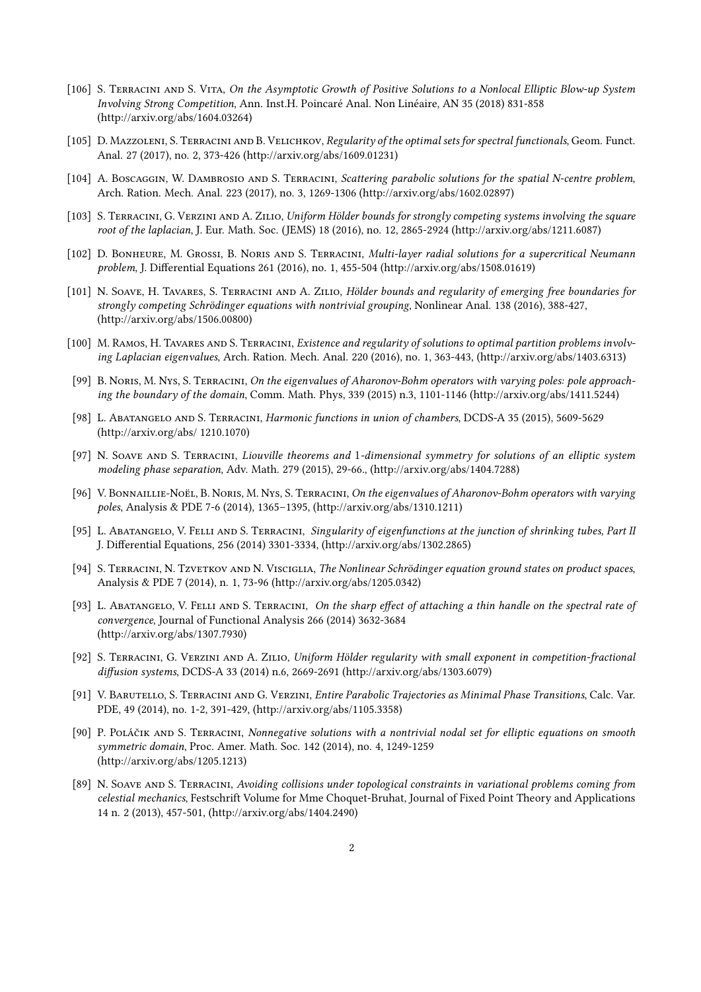- [106] S. Terracini and S. Vita, On the Asymptotic Growth of Positive Solutions to a Nonlocal Elliptic Blow-up System Involving Strong Competition, Ann. Inst.H. Poincaré Anal. Non Linéaire, AN 35 (2018) 831-858 (http://arxiv.org/abs/1604.03264)
- [105] D. MAZZOLENI, S. TERRACINI AND B. VELICHKOV, Regularity of the optimal sets for spectral functionals, Geom. Funct. Anal. 27 (2017), no. 2, 373-426 (http://arxiv.org/abs/1609.01231)
- [104] A. Boscaggin, W. Dambrosio and S. Terracini, Scattering parabolic solutions for the spatial N-centre problem, Arch. Ration. Mech. Anal. 223 (2017), no. 3, 1269-1306 (http://arxiv.org/abs/1602.02897)
- [103] S. Terracini, G. Verzini and A. Zilio, Uniform Hölder bounds for strongly competing systems involving the square root of the laplacian, J. Eur. Math. Soc. (JEMS) 18 (2016), no. 12, 2865-2924 (http://arxiv.org/abs/1211.6087)
- [102] D. BONHEURE, M. GROSSI, B. NORIS AND S. TERRACINI, Multi-layer radial solutions for a supercritical Neumann problem, J. Differential Equations 261 (2016), no. 1, 455-504 (http://arxiv.org/abs/1508.01619)
- [101] N. SOAVE, H. TAVARES, S. TERRACINI AND A. ZILIO, Hölder bounds and regularity of emerging free boundaries for strongly competing Schrödinger equations with nontrivial grouping, Nonlinear Anal. 138 (2016), 388-427, (http://arxiv.org/abs/1506.00800)
- [100] M. RAMOS, H. TAVARES AND S. TERRACINI, Existence and regularity of solutions to optimal partition problems involving Laplacian eigenvalues, Arch. Ration. Mech. Anal. 220 (2016), no. 1, 363-443, (http://arxiv.org/abs/1403.6313)
- [99] B. NORIS, M. NYS, S. TERRACINI, On the eigenvalues of Aharonov-Bohm operators with varying poles: pole approaching the boundary of the domain, Comm. Math. Phys, 339 (2015) n.3, 1101-1146 (http://arxiv.org/abs/1411.5244)
- [98] L. Abatangelo and S. Terracini, Harmonic functions in union of chambers, DCDS-A 35 (2015), 5609-5629 (http://arxiv.org/abs/ 1210.1070)
- [97] N. SOAVE AND S. TERRACINI, Liouville theorems and 1-dimensional symmetry for solutions of an elliptic system modeling phase separation, Adv. Math. 279 (2015), 29-66., (http://arxiv.org/abs/1404.7288)
- [96] V. BONNAILLIE-NOËL, B. NORIS, M. NYS, S. TERRACINI, On the eigenvalues of Aharonov-Bohm operators with varying poles, Analysis & PDE 7-6 (2014), 1365–1395, (http://arxiv.org/abs/1310.1211)
- [95] L. Abatangelo, V. Felli and S. Terracini, Singularity of eigenfunctions at the junction of shrinking tubes, Part II J. Differential Equations, 256 (2014) 3301-3334, (http://arxiv.org/abs/1302.2865)
- [94] S. TERRACINI, N. TzvETKOV AND N. VISCIGLIA, The Nonlinear Schrödinger equation ground states on product spaces, Analysis & PDE 7 (2014), n. 1, 73-96 (http://arxiv.org/abs/1205.0342)
- [93] L. ABATANGELO, V. FELLI AND S. TERRACINI, On the sharp effect of attaching a thin handle on the spectral rate of convergence, Journal of Functional Analysis 266 (2014) 3632-3684 (http://arxiv.org/abs/1307.7930)
- [92] S. Terracini, G. Verzini and A. Zilio, Uniform Hölder regularity with small exponent in competition-fractional diffusion systems, DCDS-A 33 (2014) n.6, 2669-2691 (http://arxiv.org/abs/1303.6079)
- [91] V. Barutello, S. Terracini and G. Verzini, Entire Parabolic Trajectories as Minimal Phase Transitions, Calc. Var. PDE, 49 (2014), no. 1-2, 391-429, (http://arxiv.org/abs/1105.3358)
- [90] P. Poláčik and S. Terracini, Nonnegative solutions with a nontrivial nodal set for elliptic equations on smooth symmetric domain, Proc. Amer. Math. Soc. 142 (2014), no. 4, 1249-1259 (http://arxiv.org/abs/1205.1213)
- [89] N. Soave and S. Terracini, Avoiding collisions under topological constraints in variational problems coming from celestial mechanics, Festschrift Volume for Mme Choquet-Bruhat, Journal of Fixed Point Theory and Applications 14 n. 2 (2013), 457-501, (http://arxiv.org/abs/1404.2490)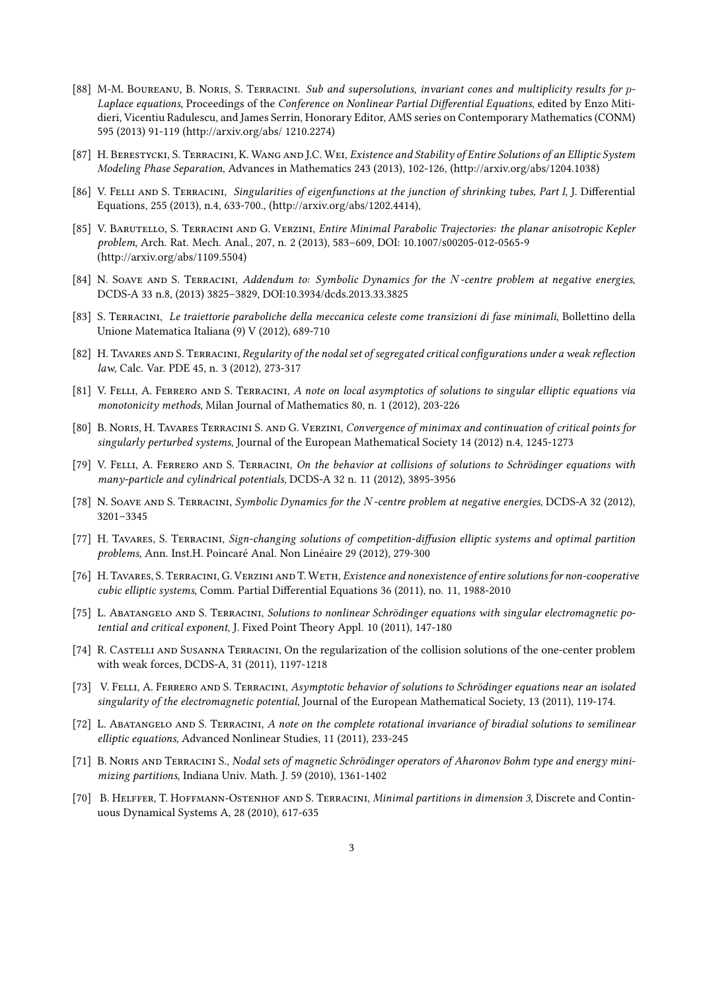- [88] M-M. BOUREANU, B. NORIS, S. TERRACINI. Sub and supersolutions, invariant cones and multiplicity results for p-Laplace equations, Proceedings of the Conference on Nonlinear Partial Differential Equations, edited by Enzo Mitidieri, Vicentiu Radulescu, and James Serrin, Honorary Editor, AMS series on Contemporary Mathematics (CONM) 595 (2013) 91-119 (http://arxiv.org/abs/ 1210.2274)
- [87] H. Berestycki, S. Terracini, K. Wang and J.C. Wei, Existence and Stability of Entire Solutions of an Elliptic System Modeling Phase Separation, Advances in Mathematics 243 (2013), 102-126, (http://arxiv.org/abs/1204.1038)
- [86] V. FELLI AND S. TERRACINI, Singularities of eigenfunctions at the junction of shrinking tubes, Part I, J. Differential Equations, 255 (2013), n.4, 633-700., (http://arxiv.org/abs/1202.4414),
- [85] V. BARUTELLO, S. TERRACINI AND G. VERZINI, Entire Minimal Parabolic Trajectories: the planar anisotropic Kepler problem, Arch. Rat. Mech. Anal., 207, n. 2 (2013), 583–609, DOI: 10.1007/s00205-012-0565-9 (http://arxiv.org/abs/1109.5504)
- [84] N. SOAVE AND S. TERRACINI, Addendum to: Symbolic Dynamics for the N-centre problem at negative energies, DCDS-A 33 n.8, (2013) 3825–3829, DOI:10.3934/dcds.2013.33.3825
- [83] S. Terracini, Le traiettorie paraboliche della meccanica celeste come transizioni di fase minimali, Bollettino della Unione Matematica Italiana (9) V (2012), 689-710
- [82] H. Tavares and S. Terracini, Regularity of the nodal set of segregated critical configurations under a weak reflection law, Calc. Var. PDE 45, n. 3 (2012), 273-317
- [81] V. FELLI, A. FERRERO AND S. TERRACINI, A note on local asymptotics of solutions to singular elliptic equations via monotonicity methods, Milan Journal of Mathematics 80, n. 1 (2012), 203-226
- [80] B. Noris, H. Tavares Terracini S. and G. Verzini, Convergence of minimax and continuation of critical points for singularly perturbed systems, Journal of the European Mathematical Society 14 (2012) n.4, 1245-1273
- [79] V. Felli, A. Ferrero and S. Terracini, On the behavior at collisions of solutions to Schrödinger equations with many-particle and cylindrical potentials, DCDS-A 32 n. 11 (2012), 3895-3956
- [78] N. Soave and S. Terracini, Symbolic Dynamics for the N-centre problem at negative energies, DCDS-A 32 (2012), 3201–3345
- [77] H. TAVARES, S. TERRACINI, Sign-changing solutions of competition-diffusion elliptic systems and optimal partition problems, Ann. Inst.H. Poincaré Anal. Non Linéaire 29 (2012), 279-300
- [76] H. TAVARES, S. TERRACINI, G. VERZINI AND T. WETH, Existence and nonexistence of entire solutions for non-cooperative cubic elliptic systems, Comm. Partial Differential Equations 36 (2011), no. 11, 1988-2010
- [75] L. ABATANGELO AND S. TERRACINI, Solutions to nonlinear Schrödinger equations with singular electromagnetic potential and critical exponent, J. Fixed Point Theory Appl. 10 (2011), 147-180
- [74] R. Castelli and Susanna Terracini, On the regularization of the collision solutions of the one-center problem with weak forces, DCDS-A, 31 (2011), 1197-1218
- [73] V. FELLI, A. FERRERO AND S. TERRACINI, Asymptotic behavior of solutions to Schrödinger equations near an isolated singularity of the electromagnetic potential, Journal of the European Mathematical Society, 13 (2011), 119-174.
- [72] L. ABATANGELO AND S. TERRACINI, A note on the complete rotational invariance of biradial solutions to semilinear elliptic equations, Advanced Nonlinear Studies, 11 (2011), 233-245
- [71] B. NORIS AND TERRACINI S., Nodal sets of magnetic Schrödinger operators of Aharonov Bohm type and energy minimizing partitions, Indiana Univ. Math. J. 59 (2010), 1361-1402
- [70] B. HELFFER, T. HOFFMANN-OSTENHOF AND S. TERRACINI, Minimal partitions in dimension 3, Discrete and Continuous Dynamical Systems A, 28 (2010), 617-635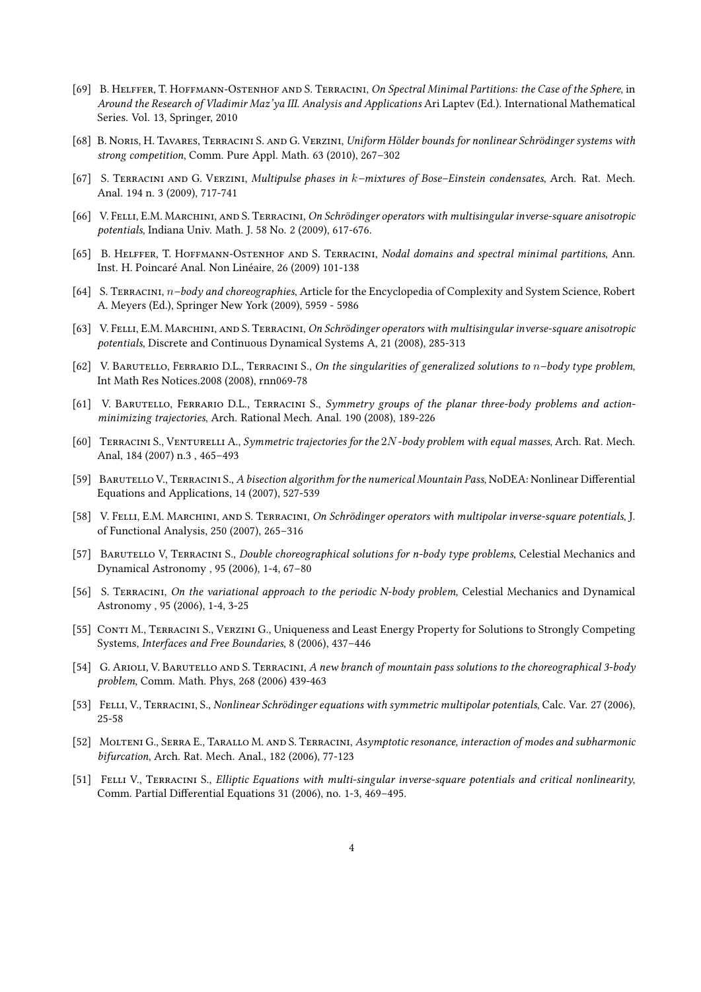- [69] B. HELFFER, T. HOFFMANN-OSTENHOF AND S. TERRACINI, On Spectral Minimal Partitions: the Case of the Sphere, in Around the Research of Vladimir Maz'ya III. Analysis and Applications Ari Laptev (Ed.). International Mathematical Series. Vol. 13, Springer, 2010
- [68] B. Noris, H. Tavares, Terracini S. and G. Verzini, Uniform Hölder bounds for nonlinear Schrödinger systems with strong competition, Comm. Pure Appl. Math. 63 (2010), 267–302
- [67] S. Terracini and G. Verzini, Multipulse phases in k–mixtures of Bose–Einstein condensates, Arch. Rat. Mech. Anal. 194 n. 3 (2009), 717-741
- [66] V. Felli, E.M. Marchini, and S. Terracini, On Schrödinger operators with multisingular inverse-square anisotropic potentials, Indiana Univ. Math. J. 58 No. 2 (2009), 617-676.
- [65] B. HELFFER, T. HOFFMANN-OSTENHOF AND S. TERRACINI, Nodal domains and spectral minimal partitions, Ann. Inst. H. Poincaré Anal. Non Linéaire, 26 (2009) 101-138
- [64] S. TERRACINI,  $n$ -body and choreographies, Article for the Encyclopedia of Complexity and System Science, Robert A. Meyers (Ed.), Springer New York (2009), 5959 - 5986
- [63] V. Felli, E.M. Marchini, and S. Terracini, On Schrödinger operators with multisingular inverse-square anisotropic potentials, Discrete and Continuous Dynamical Systems A, 21 (2008), 285-313
- [62] V. BARUTELLO, FERRARIO D.L., TERRACINI S., On the singularities of generalized solutions to n-body type problem, Int Math Res Notices.2008 (2008), rnn069-78
- [61] V. BARUTELLO, FERRARIO D.L., TERRACINI S., Symmetry groups of the planar three-body problems and actionminimizing trajectories, Arch. Rational Mech. Anal. 190 (2008), 189-226
- [60] TERRACINI S., VENTURELLI A., Symmetric trajectories for the 2N-body problem with equal masses, Arch. Rat. Mech. Anal, 184 (2007) n.3 , 465–493
- [59] BARUTELLO V., TERRACINI S., A bisection algorithm for the numerical Mountain Pass, NoDEA: Nonlinear Differential Equations and Applications, 14 (2007), 527-539
- [58] V. Felli, E.M. Marchini, and S. Terracini, On Schrödinger operators with multipolar inverse-square potentials, J. of Functional Analysis, 250 (2007), 265–316
- [57] BARUTELLO V, TERRACINI S., Double choreographical solutions for n-body type problems, Celestial Mechanics and Dynamical Astronomy , 95 (2006), 1-4, 67–80
- [56] S. TERRACINI, On the variational approach to the periodic N-body problem, Celestial Mechanics and Dynamical Astronomy , 95 (2006), 1-4, 3-25
- [55] CONTI M., TERRACINI S., VERZINI G., Uniqueness and Least Energy Property for Solutions to Strongly Competing Systems, Interfaces and Free Boundaries, 8 (2006), 437–446
- [54] G. ARIOLI, V. BARUTELLO AND S. TERRACINI, A new branch of mountain pass solutions to the choreographical 3-body problem, Comm. Math. Phys, 268 (2006) 439-463
- [53] Felli, V., Terracini, S., Nonlinear Schrödinger equations with symmetric multipolar potentials, Calc. Var. 27 (2006), 25-58
- [52] Molteni G., Serra E., Tarallo M. and S. Terracini, Asymptotic resonance, interaction of modes and subharmonic bifurcation, Arch. Rat. Mech. Anal., 182 (2006), 77-123
- [51] FELLI V., TERRACINI S., Elliptic Equations with multi-singular inverse-square potentials and critical nonlinearity, Comm. Partial Differential Equations 31 (2006), no. 1-3, 469-495.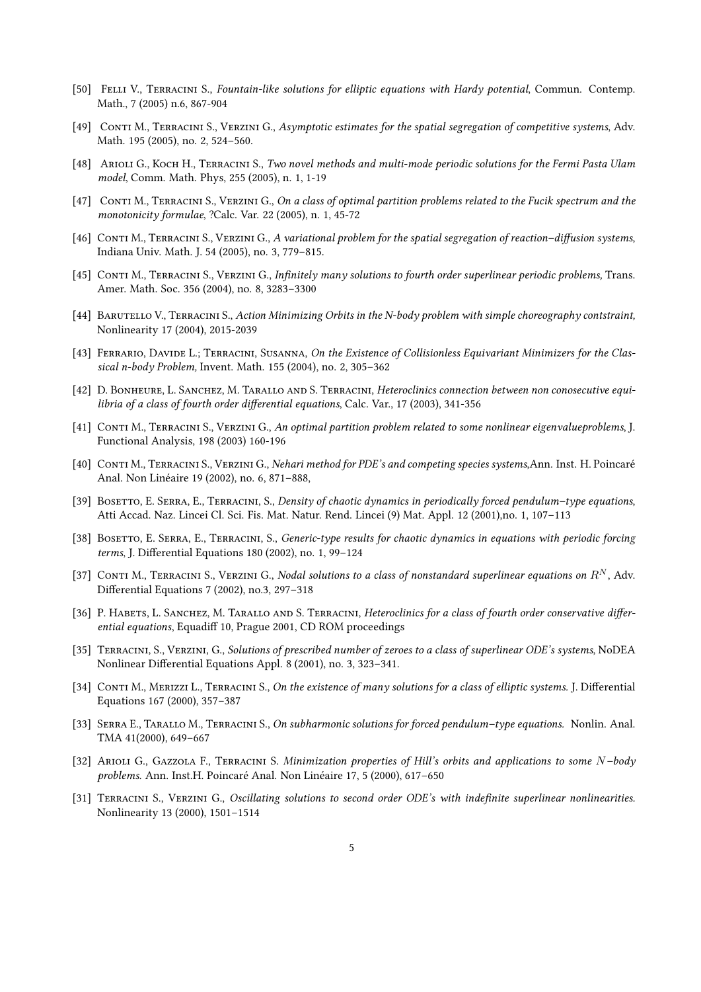- [50] Felli V., Terracini S., Fountain-like solutions for elliptic equations with Hardy potential, Commun. Contemp. Math., 7 (2005) n.6, 867-904
- [49] Conti M., Terracini S., Verzini G., Asymptotic estimates for the spatial segregation of competitive systems, Adv. Math. 195 (2005), no. 2, 524–560.
- [48] ARIOLI G., KOCH H., TERRACINI S., Two novel methods and multi-mode periodic solutions for the Fermi Pasta Ulam model, Comm. Math. Phys, 255 (2005), n. 1, 1-19
- [47] CONTI M., TERRACINI S., VERZINI G., On a class of optimal partition problems related to the Fucik spectrum and the monotonicity formulae, ?Calc. Var. 22 (2005), n. 1, 45-72
- [46] CONTI M., TERRACINI S., VERZINI G., A variational problem for the spatial segregation of reaction–diffusion systems, Indiana Univ. Math. J. 54 (2005), no. 3, 779–815.
- [45] CONTI M., TERRACINI S., VERZINI G., Infinitely many solutions to fourth order superlinear periodic problems, Trans. Amer. Math. Soc. 356 (2004), no. 8, 3283–3300
- [44] BARUTELLO V., TERRACINI S., Action Minimizing Orbits in the N-body problem with simple choreography contstraint, Nonlinearity 17 (2004), 2015-2039
- [43] FERRARIO, DAVIDE L.; TERRACINI, SUSANNA, On the Existence of Collisionless Equivariant Minimizers for the Classical n-body Problem, Invent. Math. 155 (2004), no. 2, 305–362
- [42] D. BONHEURE, L. SANCHEZ, M. TARALLO AND S. TERRACINI, Heteroclinics connection between non conosecutive equilibria of a class of fourth order differential equations, Calc. Var., 17 (2003), 341-356
- [41] CONTI M., TERRACINI S., VERZINI G., An optimal partition problem related to some nonlinear eigenvalueproblems, J. Functional Analysis, 198 (2003) 160-196
- [40] Conti M., Terracini S., Verzini G., Nehari method for PDE's and competing species systems,Ann. Inst. H. Poincaré Anal. Non Linéaire 19 (2002), no. 6, 871–888,
- [39] BOSETTO, E. SERRA, E., TERRACINI, S., Density of chaotic dynamics in periodically forced pendulum–type equations, Atti Accad. Naz. Lincei Cl. Sci. Fis. Mat. Natur. Rend. Lincei (9) Mat. Appl. 12 (2001),no. 1, 107–113
- [38] BOSETTO, E. SERRA, E., TERRACINI, S., Generic-type results for chaotic dynamics in equations with periodic forcing terms, J. Differential Equations 180 (2002), no. 1, 99-124
- [37] CONTI M., TERRACINI S., VERZINI G., Nodal solutions to a class of nonstandard superlinear equations on  $R^N$ , Adv. Differential Equations 7 (2002), no.3, 297-318
- [36] P. HABETS, L. SANCHEZ, M. TARALLO AND S. TERRACINI, Heteroclinics for a class of fourth order conservative differential equations, Equadiff 10, Prague 2001, CD ROM proceedings
- [35] Terracini, S., Verzini, G., Solutions of prescribed number of zeroes to a class of superlinear ODE's systems, NoDEA Nonlinear Differential Equations Appl. 8 (2001), no. 3, 323-341.
- [34] CONTI M., MERIZZI L., TERRACINI S., On the existence of many solutions for a class of elliptic systems. J. Differential Equations 167 (2000), 357–387
- [33] Serra E., Tarallo M., Terracini S., On subharmonic solutions for forced pendulum–type equations. Nonlin. Anal. TMA 41(2000), 649–667
- [32] ARIOLI G., GAZZOLA F., TERRACINI S. Minimization properties of Hill's orbits and applications to some N–body problems. Ann. Inst.H. Poincaré Anal. Non Linéaire 17, 5 (2000), 617–650
- [31] TERRACINI S., VERZINI G., Oscillating solutions to second order ODE's with indefinite superlinear nonlinearities. Nonlinearity 13 (2000), 1501–1514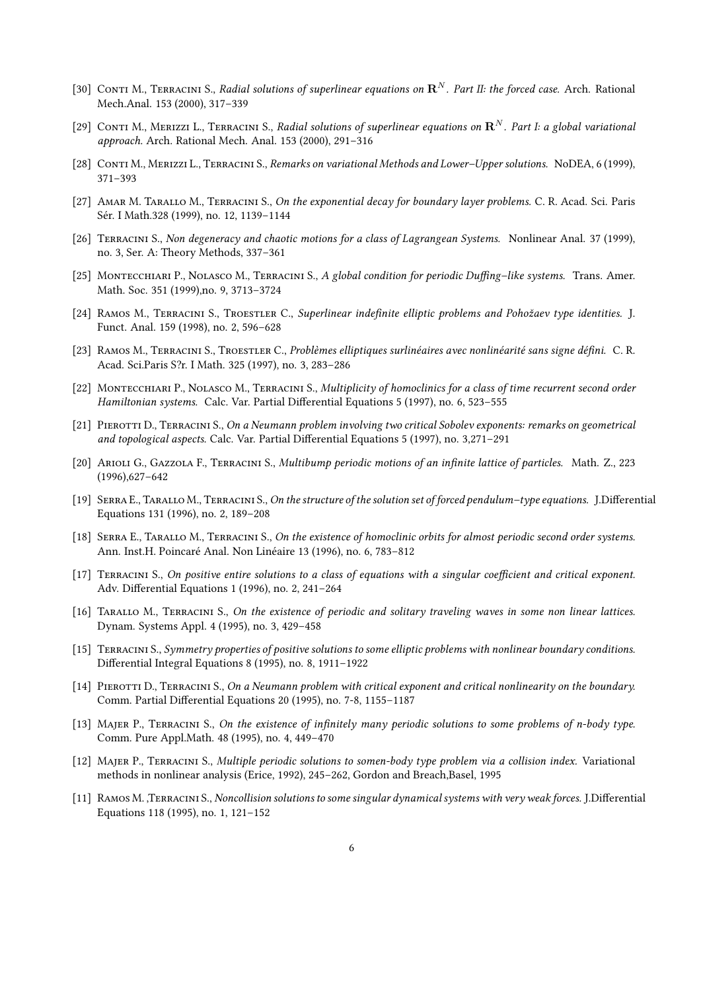- [30] CONTI M., TERRACINI S., Radial solutions of superlinear equations on  $\mathbf{R}^N$ . Part II: the forced case. Arch. Rational Mech.Anal. 153 (2000), 317–339
- [29] CONTI M., MERIZZI L., TERRACINI S., Radial solutions of superlinear equations on  $\mathbf{R}^N$ . Part I: a global variational approach. Arch. Rational Mech. Anal. 153 (2000), 291–316
- [28] Conti M., Merizzi L., Terracini S., Remarks on variational Methods and Lower–Upper solutions. NoDEA, 6 (1999), 371–393
- [27] AMAR M. TARALLO M., TERRACINI S., On the exponential decay for boundary layer problems. C. R. Acad. Sci. Paris Sér. I Math.328 (1999), no. 12, 1139–1144
- [26] Terracini S., Non degeneracy and chaotic motions for a class of Lagrangean Systems. Nonlinear Anal. 37 (1999), no. 3, Ser. A: Theory Methods, 337–361
- [25] MONTECCHIARI P., NOLASCO M., TERRACINI S., A global condition for periodic Duffing-like systems. Trans. Amer. Math. Soc. 351 (1999),no. 9, 3713–3724
- [24] RAMOS M., TERRACINI S., TROESTLER C., Superlinear indefinite elliptic problems and Pohožaev type identities. J. Funct. Anal. 159 (1998), no. 2, 596–628
- [23] RAMOS M., TERRACINI S., TROESTLER C., Problèmes elliptiques surlinéaires avec nonlinéarité sans signe défini. C. R. Acad. Sci.Paris S?r. I Math. 325 (1997), no. 3, 283–286
- [22] MONTECCHIARI P., NOLASCO M., TERRACINI S., Multiplicity of homoclinics for a class of time recurrent second order Hamiltonian systems. Calc. Var. Partial Differential Equations 5 (1997), no. 6, 523-555
- [21] PIEROTTI D., TERRACINI S., On a Neumann problem involving two critical Sobolev exponents: remarks on geometrical and topological aspects. Calc. Var. Partial Differential Equations 5 (1997), no. 3,271–291
- [20] ARIOLI G., GAZZOLA F., TERRACINI S., Multibump periodic motions of an infinite lattice of particles. Math. Z., 223 (1996),627–642
- [19] SERRA E., TARALLO M., TERRACINI S., On the structure of the solution set of forced pendulum–type equations. J.Differential Equations 131 (1996), no. 2, 189–208
- [18] SERRA E., TARALLO M., TERRACINI S., On the existence of homoclinic orbits for almost periodic second order systems. Ann. Inst.H. Poincaré Anal. Non Linéaire 13 (1996), no. 6, 783–812
- [17] TERRACINI S., On positive entire solutions to a class of equations with a singular coefficient and critical exponent. Adv. Differential Equations 1 (1996), no. 2, 241-264
- [16] Tarallo M., Terracini S., On the existence of periodic and solitary traveling waves in some non linear lattices. Dynam. Systems Appl. 4 (1995), no. 3, 429–458
- [15] TERRACINI S., Symmetry properties of positive solutions to some elliptic problems with nonlinear boundary conditions. Differential Integral Equations 8 (1995), no. 8, 1911-1922
- [14] PIEROTTI D., TERRACINI S., On a Neumann problem with critical exponent and critical nonlinearity on the boundary. Comm. Partial Differential Equations 20 (1995), no. 7-8, 1155-1187
- [13] MAJER P., TERRACINI S., On the existence of infinitely many periodic solutions to some problems of n-body type. Comm. Pure Appl.Math. 48 (1995), no. 4, 449–470
- [12] Majer P., Terracini S., Multiple periodic solutions to somen-body type problem via a collision index. Variational methods in nonlinear analysis (Erice, 1992), 245–262, Gordon and Breach,Basel, 1995
- [11] RAMOS M. ,TERRACINI S., Noncollision solutions to some singular dynamical systems with very weak forces. J.Differential Equations 118 (1995), no. 1, 121–152